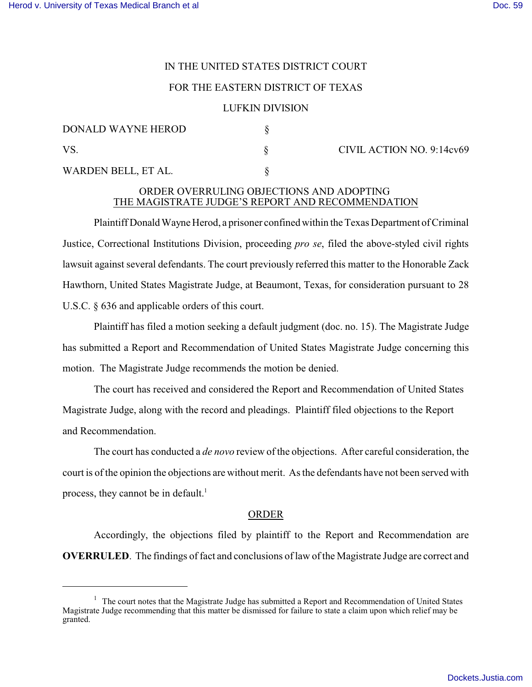## IN THE UNITED STATES DISTRICT COURT

### FOR THE EASTERN DISTRICT OF TEXAS

### LUFKIN DIVISION

| DONALD WAYNE HEROD  |  |
|---------------------|--|
| VS.                 |  |
| WARDEN BELL, ET AL. |  |

CIVIL ACTION NO. 9:14cv69

# ORDER OVERRULING OBJECTIONS AND ADOPTING THE MAGISTRATE JUDGE'S REPORT AND RECOMMENDATION

Plaintiff Donald Wayne Herod, a prisoner confined within the Texas Department of Criminal Justice, Correctional Institutions Division, proceeding *pro se*, filed the above-styled civil rights lawsuit against several defendants. The court previously referred this matter to the Honorable Zack Hawthorn, United States Magistrate Judge, at Beaumont, Texas, for consideration pursuant to 28 U.S.C. § 636 and applicable orders of this court.

Plaintiff has filed a motion seeking a default judgment (doc. no. 15). The Magistrate Judge has submitted a Report and Recommendation of United States Magistrate Judge concerning this motion. The Magistrate Judge recommends the motion be denied.

The court has received and considered the Report and Recommendation of United States Magistrate Judge, along with the record and pleadings. Plaintiff filed objections to the Report and Recommendation.

The court has conducted a *de novo* review of the objections. After careful consideration, the court is of the opinion the objections are without merit. As the defendants have not been served with process, they cannot be in default.<sup>1</sup>

#### ORDER

Accordingly, the objections filed by plaintiff to the Report and Recommendation are **OVERRULED**. The findings of fact and conclusions of law of the Magistrate Judge are correct and

<sup>&</sup>lt;sup>1</sup> The court notes that the Magistrate Judge has submitted a Report and Recommendation of United States Magistrate Judge recommending that this matter be dismissed for failure to state a claim upon which relief may be granted.